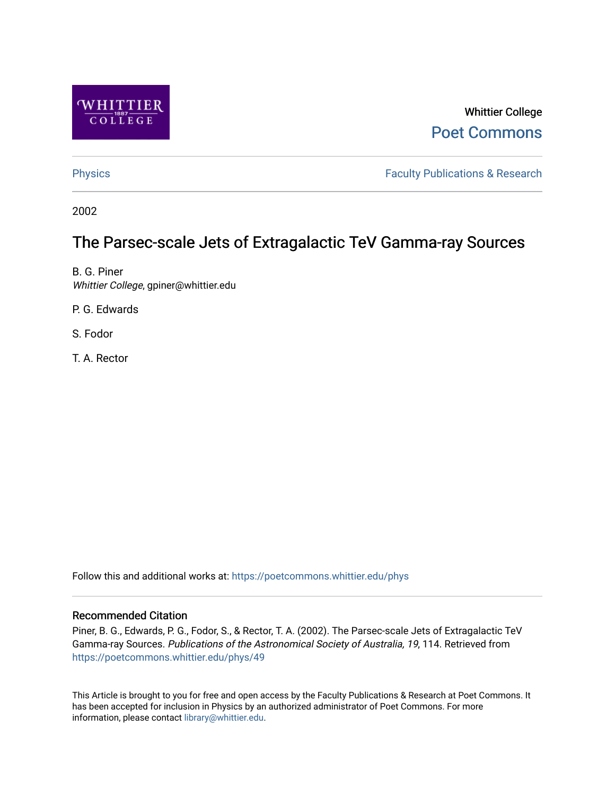

# Whittier College [Poet Commons](https://poetcommons.whittier.edu/)

[Physics](https://poetcommons.whittier.edu/phys) **Faculty Publications & Research Physics Faculty Publications & Research** 

2002

# The Parsec-scale Jets of Extragalactic TeV Gamma-ray Sources

B. G. Piner Whittier College, gpiner@whittier.edu

P. G. Edwards

S. Fodor

T. A. Rector

Follow this and additional works at: [https://poetcommons.whittier.edu/phys](https://poetcommons.whittier.edu/phys?utm_source=poetcommons.whittier.edu%2Fphys%2F49&utm_medium=PDF&utm_campaign=PDFCoverPages)

### Recommended Citation

Piner, B. G., Edwards, P. G., Fodor, S., & Rector, T. A. (2002). The Parsec-scale Jets of Extragalactic TeV Gamma-ray Sources. Publications of the Astronomical Society of Australia, 19, 114. Retrieved from [https://poetcommons.whittier.edu/phys/49](https://poetcommons.whittier.edu/phys/49?utm_source=poetcommons.whittier.edu%2Fphys%2F49&utm_medium=PDF&utm_campaign=PDFCoverPages) 

This Article is brought to you for free and open access by the Faculty Publications & Research at Poet Commons. It has been accepted for inclusion in Physics by an authorized administrator of Poet Commons. For more information, please contact [library@whittier.edu.](mailto:library@whittier.edu)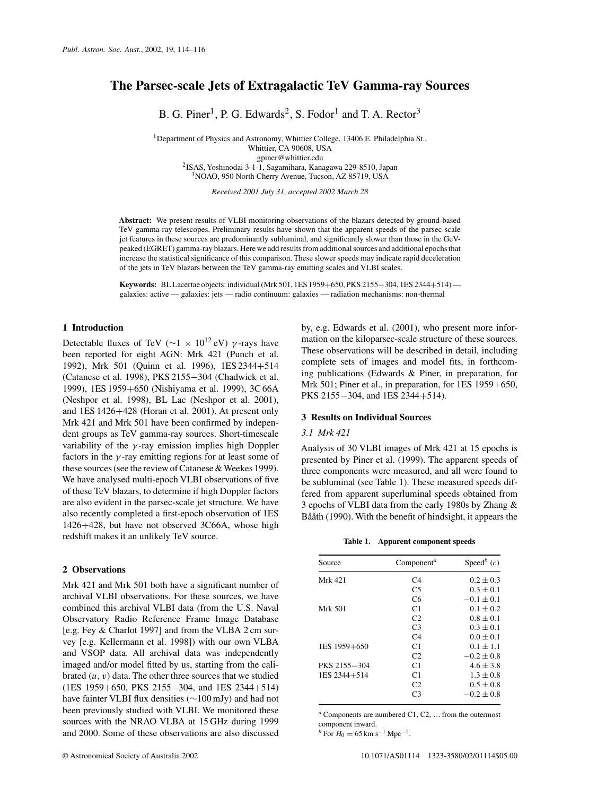## **The Parsec-scale Jets of Extragalactic TeV Gamma-ray Sources**

B. G. Piner<sup>1</sup>, P. G. Edwards<sup>2</sup>, S. Fodor<sup>1</sup> and T. A. Rector<sup>3</sup>

<sup>1</sup>Department of Physics and Astronomy, Whittier College, 13406 E. Philadelphia St., Whittier, CA 90608, USA gpiner@whittier.edu 2 ISAS, Yoshinodai 3-1-1, Sagamihara, Kanagawa 229-8510, Japan <sup>3</sup>NOAO, 950 North Cherry Avenue, Tucson, AZ 85719, USA

*Received 2001 July 31, accepted 2002 March 28*

**Abstract:** We present results of VLBI monitoring observations of the blazars detected by ground-based TeV gamma-ray telescopes. Preliminary results have shown that the apparent speeds of the parsec-scale jet features in these sources are predominantly subluminal, and significantly slower than those in the GeVpeaked (EGRET) gamma-ray blazars. Here we add results from additional sources and additional epochs that increase the statistical significance of this comparison. These slower speeds may indicate rapid deceleration of the jets in TeV blazars between the TeV gamma-ray emitting scales and VLBI scales.

**Keywords:** BLLacertae objects: individual(Mrk 501, 1ES 1959+650, PKS 2155−304, 1ES 2344+514) galaxies: active — galaxies: jets — radio continuum: galaxies — radiation mechanisms: non-thermal

#### **1 Introduction**

Detectable fluxes of TeV ( $\sim$ 1 × 10<sup>12</sup> eV)  $\gamma$ -rays have been reported for eight AGN: Mrk 421 (Punch et al. 1992), Mrk 501 (Quinn et al. 1996), 1ES 2344+514 (Catanese et al. 1998), PKS 2155−304 (Chadwick et al. 1999), 1ES 1959+650 (Nishiyama et al. 1999), 3C66A (Neshpor et al. 1998), BL Lac (Neshpor et al. 2001), and 1ES 1426+428 (Horan et al. 2001). At present only Mrk 421 and Mrk 501 have been confirmed by independent groups as TeV gamma-ray sources. Short-timescale variability of the  $\gamma$ -ray emission implies high Doppler factors in the  $\gamma$ -ray emitting regions for at least some of these sources (see the review of Catanese & Weekes 1999). We have analysed multi-epoch VLBI observations of five of these TeV blazars, to determine if high Doppler factors are also evident in the parsec-scale jet structure. We have also recently completed a first-epoch observation of 1ES 1426+428, but have not observed 3C66A, whose high redshift makes it an unlikely TeV source.

#### **2 Observations**

Mrk 421 and Mrk 501 both have a significant number of archival VLBI observations. For these sources, we have combined this archival VLBI data (from the U.S. Naval Observatory Radio Reference Frame Image Database [e.g. Fey & Charlot 1997] and from the VLBA 2 cm survey [e.g. Kellermann et al. 1998]) with our own VLBA and VSOP data. All archival data was independently imaged and/or model fitted by us, starting from the calibrated  $(u, v)$  data. The other three sources that we studied (1ES 1959+650, PKS 2155−304, and 1ES 2344+514) have fainter VLBI flux densities (∼100 mJy) and had not been previously studied with VLBI. We monitored these sources with the NRAO VLBA at 15 GHz during 1999 and 2000. Some of these observations are also discussed

by, e.g. Edwards et al. (2001), who present more information on the kiloparsec-scale structure of these sources. These observations will be described in detail, including complete sets of images and model fits, in forthcoming publications (Edwards & Piner, in preparation, for Mrk 501; Piner et al., in preparation, for 1ES 1959+650, PKS 2155−304, and 1ES 2344+514).

#### **3 Results on Individual Sources**

#### *3.1 Mrk 421*

Analysis of 30 VLBI images of Mrk 421 at 15 epochs is presented by Piner et al. (1999). The apparent speeds of three components were measured, and all were found to be subluminal (see Table 1). These measured speeds differed from apparent superluminal speeds obtained from 3 epochs of VLBI data from the early 1980s by Zhang & Bååth (1990). With the benefit of hindsight, it appears the

**Table 1. Apparent component speeds**

| Source       | Component <sup>a</sup> | Speed <sup>b</sup> $(c)$ |
|--------------|------------------------|--------------------------|
| Mrk 421      | C4                     | $0.2 \pm 0.3$            |
|              | C <sub>5</sub>         | $0.3 \pm 0.1$            |
|              | C <sub>6</sub>         | $-0.1 \pm 0.1$           |
| Mrk 501      | C <sub>1</sub>         | $0.1 \pm 0.2$            |
|              | C <sub>2</sub>         | $0.8 \pm 0.1$            |
|              | C <sub>3</sub>         | $0.3 \pm 0.1$            |
|              | C <sub>4</sub>         | $0.0 \pm 0.1$            |
| 1ES 1959+650 | C <sub>1</sub>         | $0.1 \pm 1.1$            |
|              | C <sub>2</sub>         | $-0.2 \pm 0.8$           |
| PKS 2155-304 | C <sub>1</sub>         | $4.6 \pm 3.8$            |
| 1ES 2344+514 | C <sub>1</sub>         | $1.3 \pm 0.8$            |
|              | C2                     | $0.5 \pm 0.8$            |
|              | C <sub>3</sub>         | $-0.2 \pm 0.8$           |

 $a$  Components are numbered C1, C2, ... from the outermost component inward.

 $b$  For  $H_0 = 65$  km s<sup>-1</sup> Mpc<sup>-1</sup>.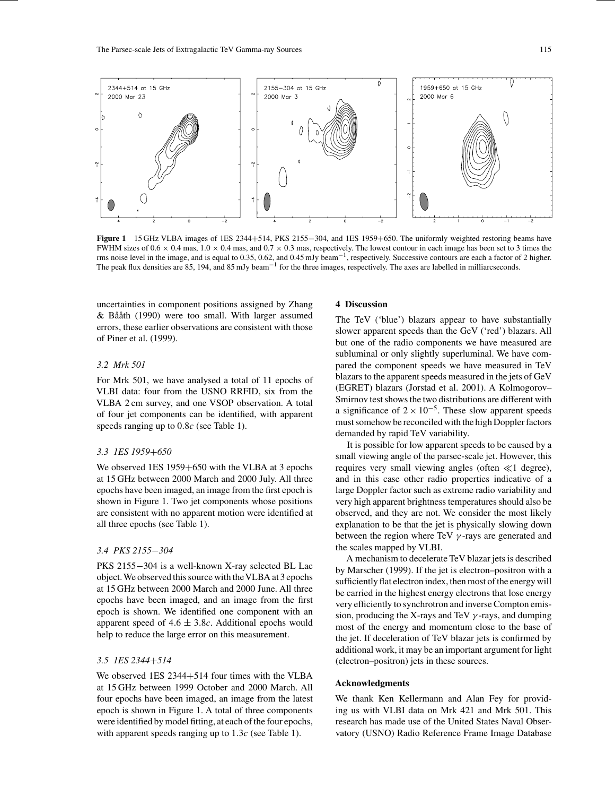

**Figure 1** 15 GHz VLBA images of 1ES 2344+514, PKS 2155−304, and 1ES 1959+650. The uniformly weighted restoring beams have FWHM sizes of  $0.6 \times 0.4$  mas,  $1.0 \times 0.4$  mas, and  $0.7 \times 0.3$  mas, respectively. The lowest contour in each image has been set to 3 times the rms noise level in the image, and is equal to 0.35, 0.62, and 0.45 mJy beam<sup>-1</sup>, respectively. Successive contours are each a factor of 2 higher. The peak flux densities are 85, 194, and 85 mJy beam<sup>-1</sup> for the three images, respectively. The axes are labelled in milliarcseconds.

uncertainties in component positions assigned by Zhang & Bååth (1990) were too small. With larger assumed errors, these earlier observations are consistent with those of Piner et al. (1999).

#### *3.2 Mrk 501*

For Mrk 501, we have analysed a total of 11 epochs of VLBI data: four from the USNO RRFID, six from the VLBA 2 cm survey, and one VSOP observation. A total of four jet components can be identified, with apparent speeds ranging up to 0.8c (see Table 1).

#### *3.3 1ES 1959*+*650*

We observed 1ES 1959+650 with the VLBA at 3 epochs at 15 GHz between 2000 March and 2000 July. All three epochs have been imaged, an image from the first epoch is shown in Figure 1. Two jet components whose positions are consistent with no apparent motion were identified at all three epochs (see Table 1).

#### *3.4 PKS 2155*−*304*

PKS 2155−304 is a well-known X-ray selected BL Lac object.We observed thissource with theVLBA at 3 epochs at 15 GHz between 2000 March and 2000 June. All three epochs have been imaged, and an image from the first epoch is shown. We identified one component with an apparent speed of  $4.6 \pm 3.8c$ . Additional epochs would help to reduce the large error on this measurement.

### *3.5 1ES 2344*+*514*

We observed 1ES 2344+514 four times with the VLBA at 15 GHz between 1999 October and 2000 March. All four epochs have been imaged, an image from the latest epoch is shown in Figure 1. A total of three components were identified by model fitting, at each of the four epochs, with apparent speeds ranging up to  $1.3c$  (see Table 1).

#### **4 Discussion**

The TeV ('blue') blazars appear to have substantially slower apparent speeds than the GeV ('red') blazars. All but one of the radio components we have measured are subluminal or only slightly superluminal. We have compared the component speeds we have measured in TeV blazars to the apparent speeds measured in the jets of GeV (EGRET) blazars (Jorstad et al. 2001). A Kolmogorov– Smirnov test shows the two distributions are different with a significance of  $2 \times 10^{-5}$ . These slow apparent speeds must somehow be reconciled with the high Doppler factors demanded by rapid TeV variability.

It is possible for low apparent speeds to be caused by a small viewing angle of the parsec-scale jet. However, this requires very small viewing angles (often  $\ll 1$  degree), and in this case other radio properties indicative of a large Doppler factor such as extreme radio variability and very high apparent brightness temperatures should also be observed, and they are not. We consider the most likely explanation to be that the jet is physically slowing down between the region where TeV  $\gamma$ -rays are generated and the scales mapped by VLBI.

A mechanism to decelerate TeV blazar jets is described by Marscher (1999). If the jet is electron–positron with a sufficiently flat electron index, then most of the energy will be carried in the highest energy electrons that lose energy very efficiently to synchrotron and inverse Compton emission, producing the X-rays and TeV  $\gamma$ -rays, and dumping most of the energy and momentum close to the base of the jet. If deceleration of TeV blazar jets is confirmed by additional work, it may be an important argument for light (electron–positron) jets in these sources.

#### **Acknowledgments**

We thank Ken Kellermann and Alan Fey for providing us with VLBI data on Mrk 421 and Mrk 501. This research has made use of the United States Naval Observatory (USNO) Radio Reference Frame Image Database